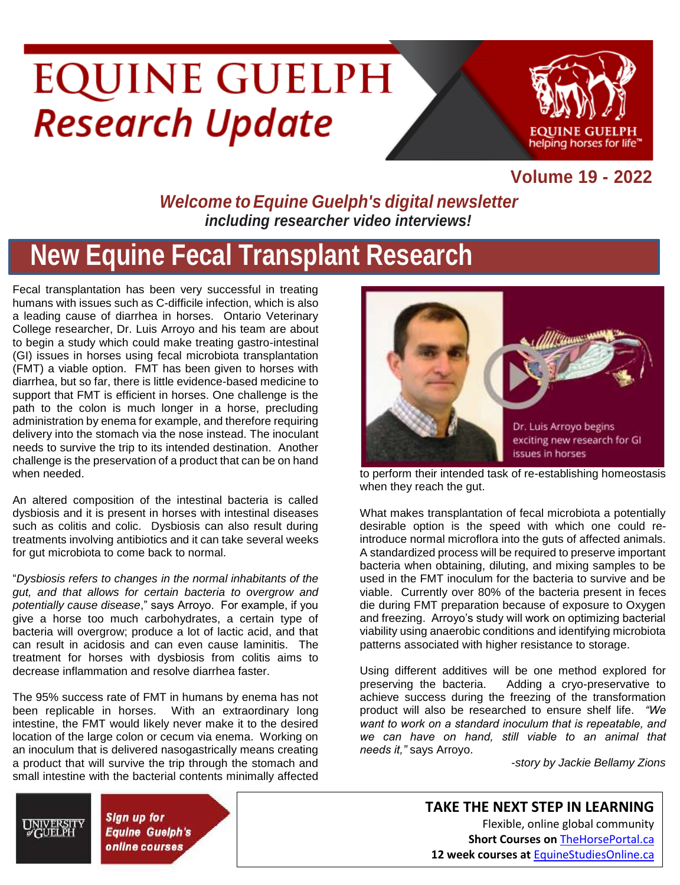# **EQUINE GUELPH Research Update**



#### **Volume 19 - 2022**

#### *Welcome toEquine Guelph's digital newsletter including researcher video interviews!*

### **New Equine Fecal Transplant Research**

Fecal transplantation has been very successful in treating humans with issues such as C-difficile infection, which is also a leading cause of diarrhea in horses. Ontario Veterinary College researcher, Dr. Luis Arroyo and his team are about to begin a study which could make treating gastro-intestinal (GI) issues in horses using fecal microbiota transplantation (FMT) a viable option. FMT has been given to horses with diarrhea, but so far, there is little evidence-based medicine to support that FMT is efficient in horses. One challenge is the path to the colon is much longer in a horse, precluding administration by enema for example, and therefore requiring delivery into the stomach via the nose instead. The inoculant needs to survive the trip to its intended destination. Another challenge is the preservation of a product that can be on hand when needed.

An altered composition of the intestinal bacteria is called dysbiosis and it is present in horses with intestinal diseases such as colitis and colic. Dysbiosis can also result during treatments involving antibiotics and it can take several weeks for gut microbiota to come back to normal.

"*Dysbiosis refers to changes in the normal inhabitants of the gut, and that allows for certain bacteria to overgrow and potentially cause disease*," says Arroyo. For example, if you give a horse too much carbohydrates, a certain type of bacteria will overgrow; produce a lot of lactic acid, and that can result in acidosis and can even cause laminitis. The treatment for horses with dysbiosis from colitis aims to decrease inflammation and resolve diarrhea faster.

The 95% success rate of FMT in humans by enema has not been replicable in horses. With an extraordinary long intestine, the FMT would likely never make it to the desired location of the large colon or cecum via enema. Working on an inoculum that is delivered nasogastrically means creating a product that will survive the trip through the stomach and small intestine with the bacterial contents minimally affected

> **Sign up for Equine Guelph's** online courses



to perform their intended task of re-establishing homeostasis when they reach the gut.

What makes transplantation of fecal microbiota a potentially desirable option is the speed with which one could reintroduce normal microflora into the guts of affected animals. A standardized process will be required to preserve important bacteria when obtaining, diluting, and mixing samples to be used in the FMT inoculum for the bacteria to survive and be viable. Currently over 80% of the bacteria present in feces die during FMT preparation because of exposure to Oxygen and freezing. Arroyo's study will work on optimizing bacterial viability using anaerobic conditions and identifying microbiota patterns associated with higher resistance to storage.

Using different additives will be one method explored for preserving the bacteria. Adding a cryo-preservative to achieve success during the freezing of the transformation product will also be researched to ensure shelf life. *"We want to work on a standard inoculum that is repeatable, and we can have on hand, still viable to an animal that needs it,"* says Arroyo.

-*story by Jackie Bellamy Zions*

**TAKE THE NEXT STEP IN LEARNING** Flexible, online global community **Short Courses on** [TheHorsePortal.ca](https://thehorseportal.ca/) **12 week courses at** [EquineStudiesOnline.ca](https://courses.opened.uoguelph.ca/contentManagement.do?method=load&code=CM000020)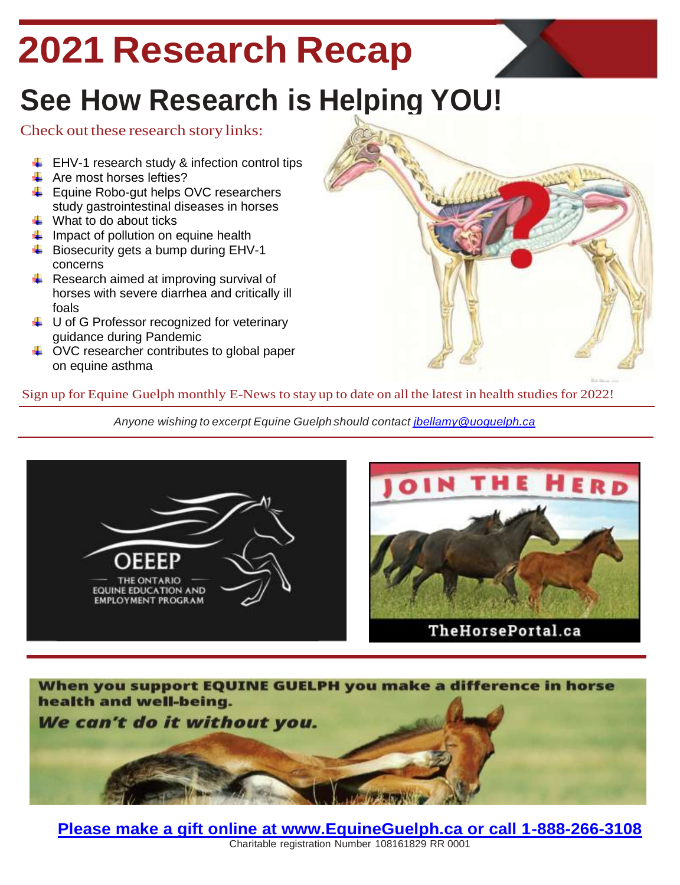## **2021 Research Recap**

### **See How Research is Helping YOU!**

#### Check out these research story links:

- $\downarrow$  [EHV-1 research study &](https://thehorseportal.ca/2021/11/ehv-1-research-study-and-infection-control-tips/) infection control tips
- $\leftarrow$  [Are most horses lefties?](https://thehorseportal.ca/2021/08/are-most-horses-lefties/)
- $\leftarrow$  Equine Robo-gut helps OVC researchers [study gastrointestinal diseases in horses](https://thehorseportal.ca/2021/06/equine-robo-gut-helps-ovc-researchers-study-gastrointestinal-diseases-in-horses/)
- $\ddot{\bullet}$  [What to do about ticks](https://thehorseportal.ca/2021/06/what-to-do-about-ticks/)
- $\downarrow$  [Impact of pollution on equine health](https://thehorseportal.ca/2021/05/equine-asthma-pollution/)
- $\ddot{\bullet}$  Biosecurity gets a bump during EHV-1 [concerns](https://www.youtube.com/watch?v=f9g7kUSHSUY&t=94s)
- $\triangleq$  Research aimed at improving survival of [horses with severe diarrhea and critically](https://thehorseportal.ca/2021/04/recent-uofg-grad-joins-research-to-improve-survival-of-horses-with-diarrhea-and-critically-ill-foals/) ill [foals](https://thehorseportal.ca/2021/04/recent-uofg-grad-joins-research-to-improve-survival-of-horses-with-diarrhea-and-critically-ill-foals/)
- $\downarrow$  U of G Professor recognized for veterinary [guidance during Pandemic](https://news.uoguelph.ca/2021/01/u-of-g-professor-recognized-for-veterinary-guidance-during-pandemic/)
- $\downarrow$  OVC researcher contributes to global paper [on equine asthma](https://thehorseportal.ca/2021/01/ovc-researcher-contributes-to-global-paper-on-equine-asthma/)



#### Sign up for Equine Guelph [monthly](http://www.equineguelph.ca/news/signup.php) E-News to stay up to date on all the latest in health studies for 2022!

*Anyone wishing to excerpt Equine Guelph should contact [jbellamy@uoguelph.ca](mailto:jbellamy@uoguelph.ca)*







**[Please make a gift online at www.EquineGuelph.ca or call 1-888-266-3108](https://www.equineguelph.ca/donations/donate.php)** Charitable registration Number [108161829](http://www.equineguelph.ca/donations/donate.php) RR 0001